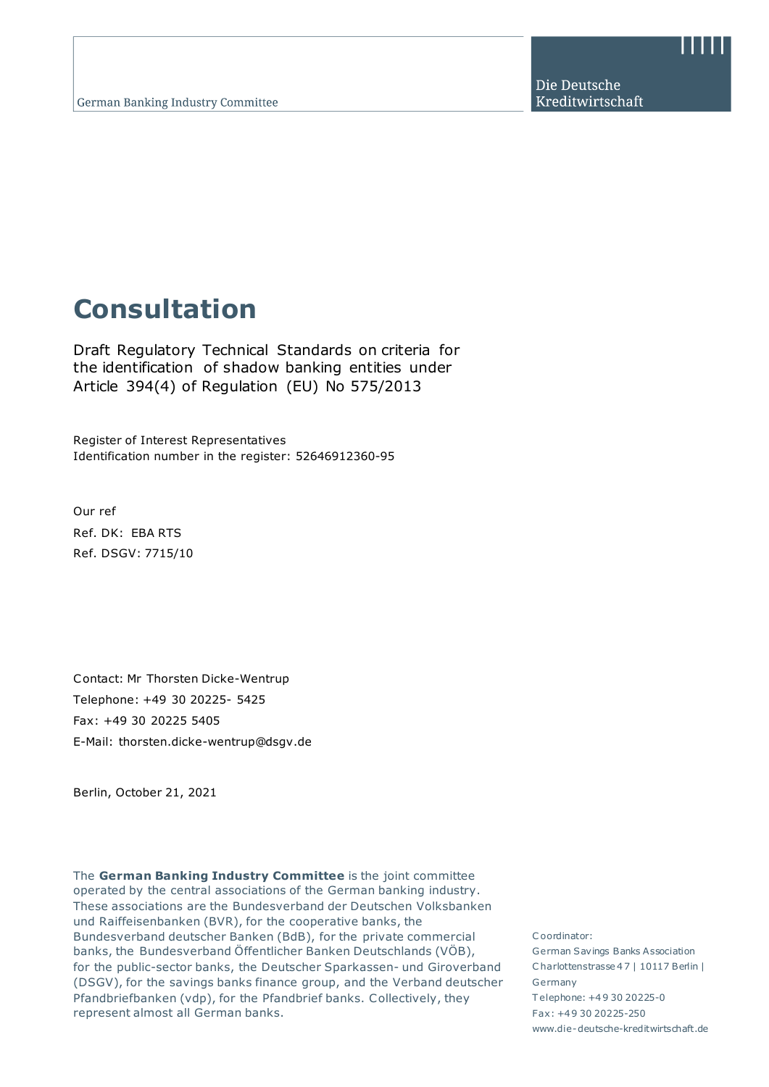Die Deutsche Kreditwirtschaft

# **Consultation**

Draft Regulatory Technical Standards on criteria for the identification of shadow banking entities under Article 394(4) of Regulation (EU) No 575/2013

Register of Interest Representatives Identification number in the register: 52646912360-95

Our ref Ref. DK: EBA RTS Ref. DSGV: 7715/10

Contact: Mr Thorsten Dicke-Wentrup Telephone: +49 30 20225- 5425 Fax: +49 30 20225 5405 E-Mail: thorsten.dicke-wentrup@dsgv.de

Berlin, October 21, 2021

The **German Banking Industry Committee** is the joint committee operated by the central associations of the German banking industry. These associations are the Bundesverband der Deutschen Volksbanken und Raiffeisenbanken (BVR), for the cooperative banks, the Bundesverband deutscher Banken (BdB), for the private commercial banks, the Bundesverband Öffentlicher Banken Deutschlands (VÖB), for the public-sector banks, the Deutscher Sparkassen- und Giroverband (DSGV), for the savings banks finance group, and the Verband deutscher Pfandbriefbanken (vdp), for the Pfandbrief banks. Collectively, they represent almost all German banks.

C oordinator: German Savings Banks Association C harlottenstrasse 4 7 | 10117 Berlin | Germany T elephone: +4 9 30 20225-0 Fax: +4 9 30 20225-250 www.die-deutsche-kreditwirtschaft.de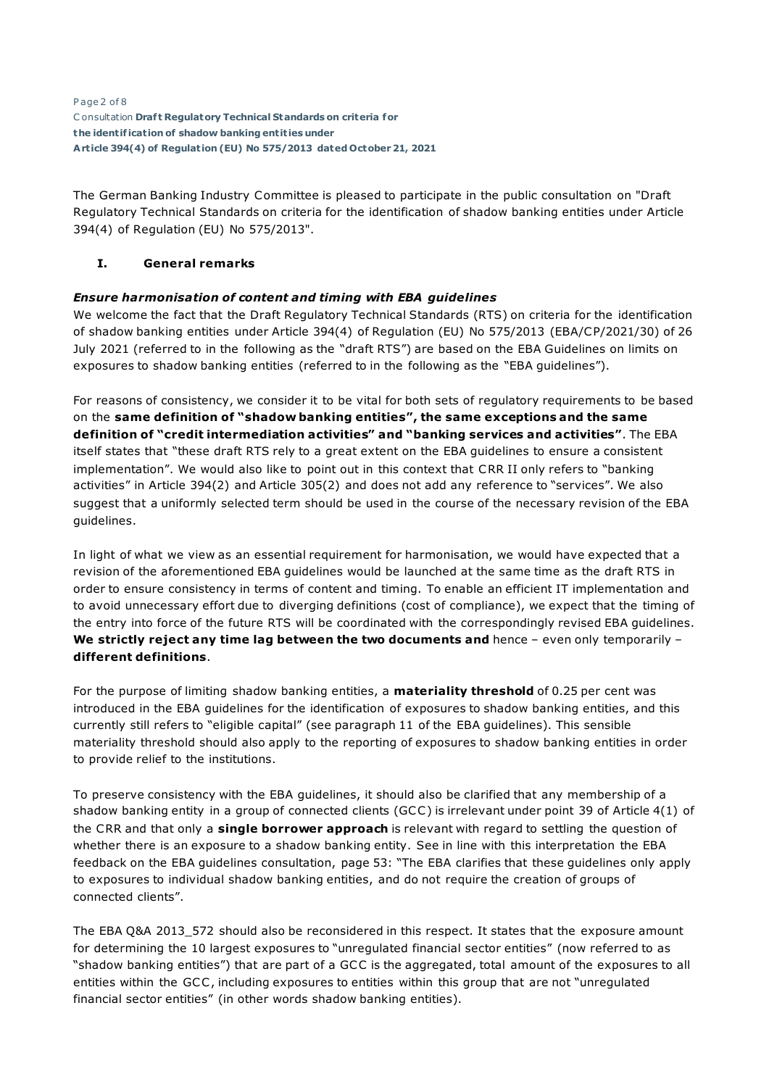Page 2 of 8 C onsultation **Draf t Regulatory Technical Standards on criteria for the ident if icat ion of shadow banking ent it ies under Art icle 394(4) of Regulat ion (EU) No 575/2013 dated October 21, 2021**

The German Banking Industry Committee is pleased to participate in the public consultation on "Draft Regulatory Technical Standards on criteria for the identification of shadow banking entities under Article 394(4) of Regulation (EU) No 575/2013".

### **I. General remarks**

## *Ensure harmonisation of content and timing with EBA guidelines*

We welcome the fact that the Draft Regulatory Technical Standards (RTS) on criteria for the identification of shadow banking entities under Article 394(4) of Regulation (EU) No 575/2013 (EBA/CP/2021/30) of 26 July 2021 (referred to in the following as the "draft RTS") are based on the EBA Guidelines on limits on exposures to shadow banking entities (referred to in the following as the "EBA guidelines").

For reasons of consistency, we consider it to be vital for both sets of regulatory requirements to be based on the **same definition of "shadow banking entities", the same exceptions and the same definition of "credit intermediation activities" and "banking services and activities"**. The EBA itself states that "these draft RTS rely to a great extent on the EBA guidelines to ensure a consistent implementation". We would also like to point out in this context that CRR II only refers to "banking activities" in Article 394(2) and Article 305(2) and does not add any reference to "services". We also suggest that a uniformly selected term should be used in the course of the necessary revision of the EBA guidelines.

In light of what we view as an essential requirement for harmonisation, we would have expected that a revision of the aforementioned EBA guidelines would be launched at the same time as the draft RTS in order to ensure consistency in terms of content and timing. To enable an efficient IT implementation and to avoid unnecessary effort due to diverging definitions (cost of compliance), we expect that the timing of the entry into force of the future RTS will be coordinated with the correspondingly revised EBA guidelines. **We strictly reject any time lag between the two documents and** hence – even only temporarily – **different definitions**.

For the purpose of limiting shadow banking entities, a **materiality threshold** of 0.25 per cent was introduced in the EBA guidelines for the identification of exposures to shadow banking entities, and this currently still refers to "eligible capital" (see paragraph 11 of the EBA guidelines). This sensible materiality threshold should also apply to the reporting of exposures to shadow banking entities in order to provide relief to the institutions.

To preserve consistency with the EBA guidelines, it should also be clarified that any membership of a shadow banking entity in a group of connected clients (GCC ) is irrelevant under point 39 of Article 4(1) of the CRR and that only a **single borrower approach** is relevant with regard to settling the question of whether there is an exposure to a shadow banking entity. See in line with this interpretation the EBA feedback on the EBA guidelines consultation, page 53: "The EBA clarifies that these guidelines only apply to exposures to individual shadow banking entities, and do not require the creation of groups of connected clients".

The EBA Q&A 2013 572 should also be reconsidered in this respect. It states that the exposure amount for determining the 10 largest exposures to "unregulated financial sector entities" (now referred to as "shadow banking entities") that are part of a GCC is the aggregated, total amount of the exposures to all entities within the GCC , including exposures to entities within this group that are not "unregulated financial sector entities" (in other words shadow banking entities).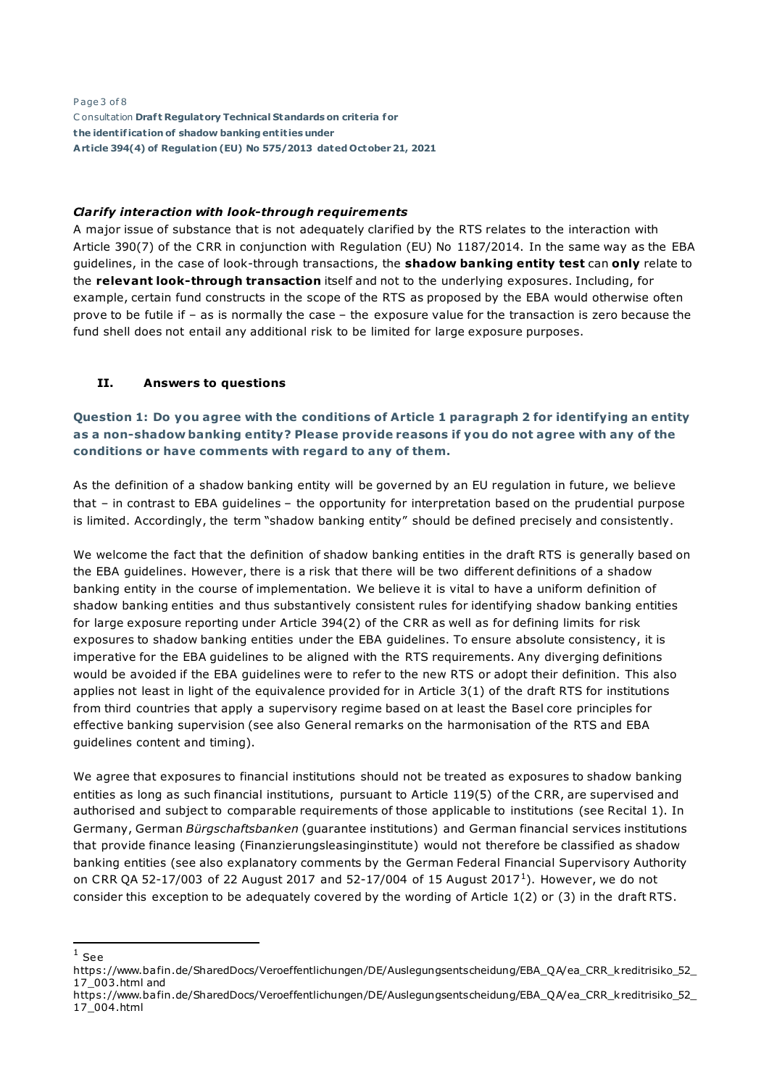Page 3 of 8 C onsultation **Draf t Regulatory Technical Standards on criteria for the ident if icat ion of shadow banking ent it ies under Art icle 394(4) of Regulat ion (EU) No 575/2013 dated October 21, 2021**

#### *Clarify interaction with look-through requirements*

A major issue of substance that is not adequately clarified by the RTS relates to the interaction with Article 390(7) of the CRR in conjunction with Regulation (EU) No 1187/2014. In the same way as the EBA guidelines, in the case of look-through transactions, the **shadow banking entity test** can **only** relate to the **relevant look-through transaction** itself and not to the underlying exposures. Including, for example, certain fund constructs in the scope of the RTS as proposed by the EBA would otherwise often prove to be futile if – as is normally the case – the exposure value for the transaction is zero because the fund shell does not entail any additional risk to be limited for large exposure purposes.

#### **II. Answers to questions**

**Question 1: Do you agree with the conditions of Article 1 paragraph 2 for identifying an entity as a non-shadow banking entity? Please provide reasons if you do not agree with any of the conditions or have comments with regard to any of them.**

As the definition of a shadow banking entity will be governed by an EU regulation in future, we believe that – in contrast to EBA guidelines – the opportunity for interpretation based on the prudential purpose is limited. Accordingly, the term "shadow banking entity" should be defined precisely and consistently.

We welcome the fact that the definition of shadow banking entities in the draft RTS is generally based on the EBA guidelines. However, there is a risk that there will be two different definitions of a shadow banking entity in the course of implementation. We believe it is vital to have a uniform definition of shadow banking entities and thus substantively consistent rules for identifying shadow banking entities for large exposure reporting under Article 394(2) of the CRR as well as for defining limits for risk exposures to shadow banking entities under the EBA guidelines. To ensure absolute consistency, it is imperative for the EBA guidelines to be aligned with the RTS requirements. Any diverging definitions would be avoided if the EBA guidelines were to refer to the new RTS or adopt their definition. This also applies not least in light of the equivalence provided for in Article 3(1) of the draft RTS for institutions from third countries that apply a supervisory regime based on at least the Basel core principles for effective banking supervision (see also General remarks on the harmonisation of the RTS and EBA guidelines content and timing).

We agree that exposures to financial institutions should not be treated as exposures to shadow banking entities as long as such financial institutions, pursuant to Article 119(5) of the CRR, are supervised and authorised and subject to comparable requirements of those applicable to institutions (see Recital 1). In Germany, German *Bürgschaftsbanken* (guarantee institutions) and German financial services institutions that provide finance leasing (Finanzierungsleasinginstitute) would not therefore be classified as shadow banking entities (see also explanatory comments by the German Federal Financial Supervisory Authority on CRR QA 52-[1](#page-2-0)7/003 of 22 August 2017 and 52-17/004 of 15 August 2017<sup>1</sup>). However, we do not consider this exception to be adequately covered by the wording of Article 1(2) or (3) in the draft RTS.

<span id="page-2-0"></span> $1$  See

[https://www.ba fin.de/SharedDocs/Veroeffentlichungen/DE/Auslegungsentscheidung/EBA\\_QA/ea\\_CRR\\_k reditrisiko\\_52\\_](https://www.bafin.de/SharedDocs/Veroeffentlichungen/DE/Auslegungsentscheidung/EBA_QA/ea_CRR_kreditrisiko_52_17_003.html) [17\\_003.html](https://www.bafin.de/SharedDocs/Veroeffentlichungen/DE/Auslegungsentscheidung/EBA_QA/ea_CRR_kreditrisiko_52_17_003.html) and

https://www.ba fin.de/SharedDocs/Veroeffentlichungen/DE/Auslegungsentscheidung/EBA\_QA/ea\_CRR\_k reditrisiko\_52\_ 17\_004.html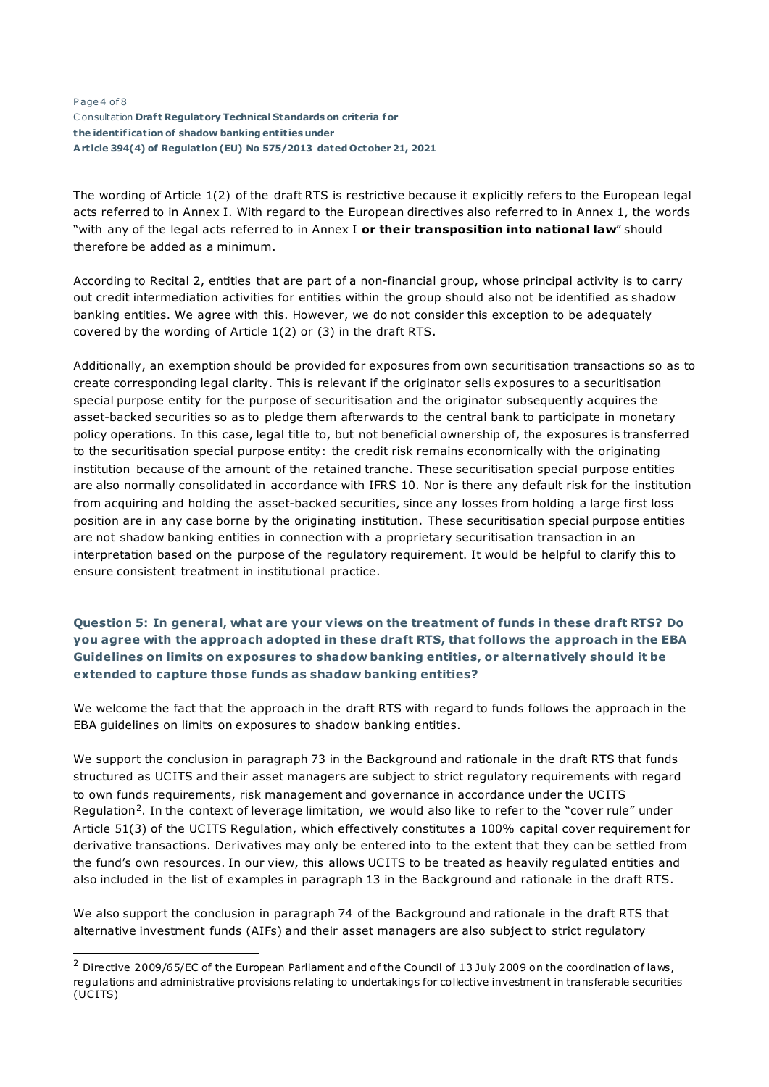#### Page 4 of 8 C onsultation **Draf t Regulatory Technical Standards on criteria for the ident if icat ion of shadow banking ent it ies under Art icle 394(4) of Regulat ion (EU) No 575/2013 dated October 21, 2021**

The wording of Article 1(2) of the draft RTS is restrictive because it explicitly refers to the European legal acts referred to in Annex I. With regard to the European directives also referred to in Annex 1, the words "with any of the legal acts referred to in Annex I **or their transposition into national law**" should therefore be added as a minimum.

According to Recital 2, entities that are part of a non-financial group, whose principal activity is to carry out credit intermediation activities for entities within the group should also not be identified as shadow banking entities. We agree with this. However, we do not consider this exception to be adequately covered by the wording of Article 1(2) or (3) in the draft RTS.

Additionally, an exemption should be provided for exposures from own securitisation transactions so as to create corresponding legal clarity. This is relevant if the originator sells exposures to a securitisation special purpose entity for the purpose of securitisation and the originator subsequently acquires the asset-backed securities so as to pledge them afterwards to the central bank to participate in monetary policy operations. In this case, legal title to, but not beneficial ownership of, the exposures is transferred to the securitisation special purpose entity: the credit risk remains economically with the originating institution because of the amount of the retained tranche. These securitisation special purpose entities are also normally consolidated in accordance with IFRS 10. Nor is there any default risk for the institution from acquiring and holding the asset-backed securities, since any losses from holding a large first loss position are in any case borne by the originating institution. These securitisation special purpose entities are not shadow banking entities in connection with a proprietary securitisation transaction in an interpretation based on the purpose of the regulatory requirement. It would be helpful to clarify this to ensure consistent treatment in institutional practice.

# **Question 5: In general, what are your views on the treatment of funds in these draft RTS? Do you agree with the approach adopted in these draft RTS, that follows the approach in the EBA Guidelines on limits on exposures to shadow banking entities, or alternatively should it be extended to capture those funds as shadow banking entities?**

We welcome the fact that the approach in the draft RTS with regard to funds follows the approach in the EBA guidelines on limits on exposures to shadow banking entities.

We support the conclusion in paragraph 73 in the Background and rationale in the draft RTS that funds structured as UC ITS and their asset managers are subject to strict regulatory requirements with regard to own funds requirements, risk management and governance in accordance under the UC ITS Regulation[2.](#page-3-0) In the context of leverage limitation, we would also like to refer to the "cover rule" under Article 51(3) of the UCITS Regulation, which effectively constitutes a 100% capital cover requirement for derivative transactions. Derivatives may only be entered into to the extent that they can be settled from the fund's own resources. In our view, this allows UC ITS to be treated as heavily regulated entities and also included in the list of examples in paragraph 13 in the Background and rationale in the draft RTS.

We also support the conclusion in paragraph 74 of the Background and rationale in the draft RTS that alternative investment funds (AIFs) and their asset managers are also subject to strict regulatory

<span id="page-3-0"></span> $2$  Directive 2009/65/EC of the European Parliament and of the Council of 13 July 2009 on the coordination of laws, regula tions and administra tive provisions relating to undertakings for collective investment in transferable securities (UCITS)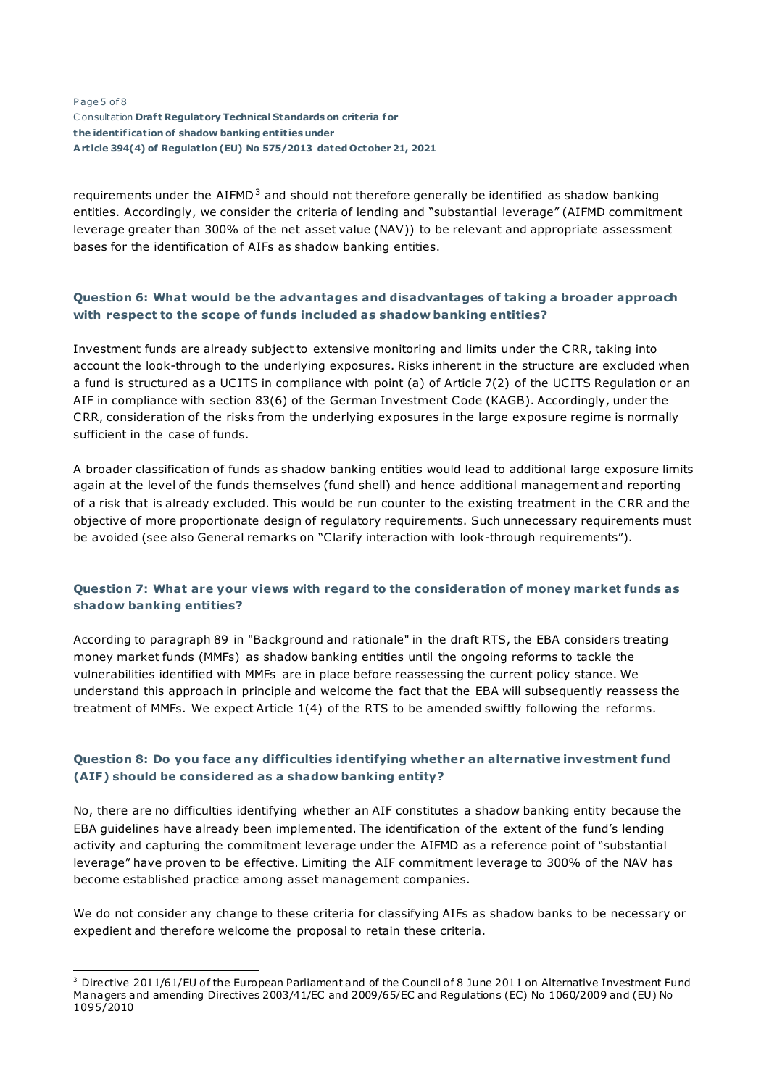#### Page 5 of 8 C onsultation **Draf t Regulatory Technical Standards on criteria for the ident if icat ion of shadow banking ent it ies under Art icle 394(4) of Regulat ion (EU) No 575/2013 dated October 21, 2021**

requirements under the AIFMD<sup>[3](#page-4-0)</sup> and should not therefore generally be identified as shadow banking entities. Accordingly, we consider the criteria of lending and "substantial leverage" (AIFMD commitment leverage greater than 300% of the net asset value (NAV)) to be relevant and appropriate assessment bases for the identification of AIFs as shadow banking entities.

# **Question 6: What would be the advantages and disadvantages of taking a broader approach with respect to the scope of funds included as shadow banking entities?**

Investment funds are already subject to extensive monitoring and limits under the CRR, taking into account the look-through to the underlying exposures. Risks inherent in the structure are excluded when a fund is structured as a UC ITS in compliance with point (a) of Article 7(2) of the UC ITS Regulation or an AIF in compliance with section 83(6) of the German Investment Code (KAGB). Accordingly, under the CRR, consideration of the risks from the underlying exposures in the large exposure regime is normally sufficient in the case of funds.

A broader classification of funds as shadow banking entities would lead to additional large exposure limits again at the level of the funds themselves (fund shell) and hence additional management and reporting of a risk that is already excluded. This would be run counter to the existing treatment in the CRR and the objective of more proportionate design of regulatory requirements. Such unnecessary requirements must be avoided (see also General remarks on "Clarify interaction with look-through requirements").

#### **Question 7: What are your views with regard to the consideration of money market funds as shadow banking entities?**

According to paragraph 89 in "Background and rationale" in the draft RTS, the EBA considers treating money market funds (MMFs) as shadow banking entities until the ongoing reforms to tackle the vulnerabilities identified with MMFs are in place before reassessing the current policy stance. We understand this approach in principle and welcome the fact that the EBA will subsequently reassess the treatment of MMFs. We expect Article 1(4) of the RTS to be amended swiftly following the reforms.

## **Question 8: Do you face any difficulties identifying whether an alternative investment fund (AIF) should be considered as a shadow banking entity?**

No, there are no difficulties identifying whether an AIF constitutes a shadow banking entity because the EBA guidelines have already been implemented. The identification of the extent of the fund's lending activity and capturing the commitment leverage under the AIFMD as a reference point of "substantial leverage" have proven to be effective. Limiting the AIF commitment leverage to 300% of the NAV has become established practice among asset management companies.

We do not consider any change to these criteria for classifying AIFs as shadow banks to be necessary or expedient and therefore welcome the proposal to retain these criteria.

<span id="page-4-0"></span> $3$  Directive 2011/61/EU of the European Parliament and of the Council of 8 June 2011 on Alternative Investment Fund Managers and amending Directives 2003/41/EC and 2009/65/EC and Regulations (EC) No 1060/2009 and (EU) No 1095/2010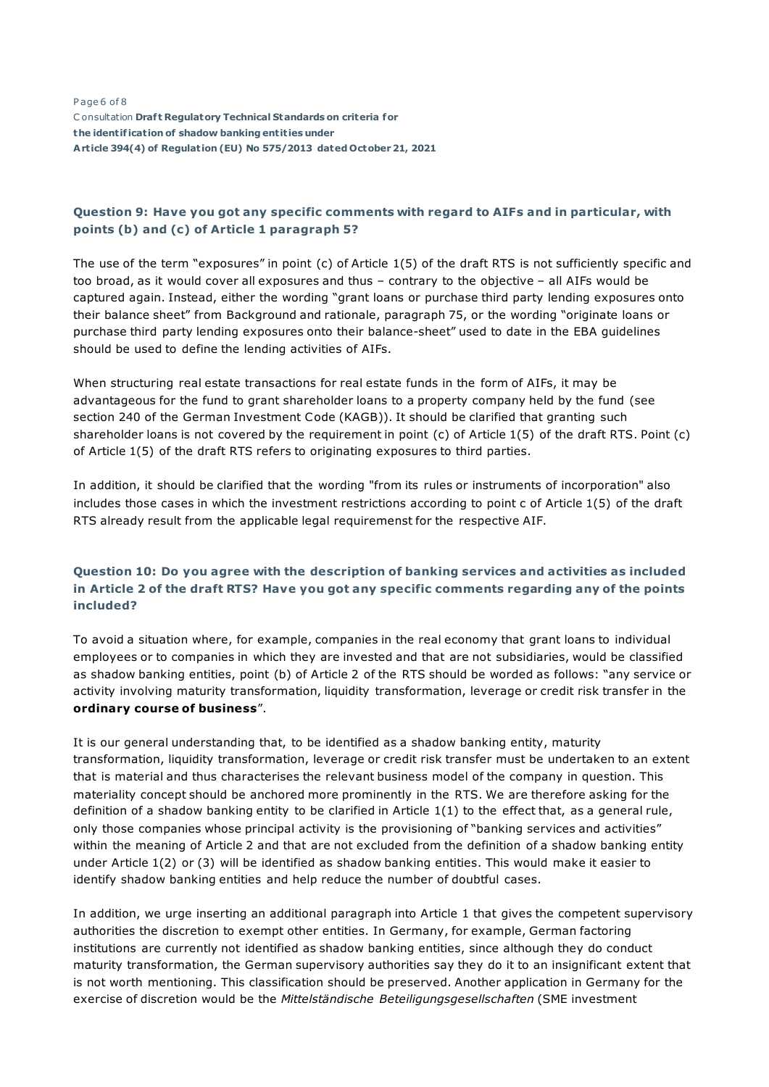Page 6 of 8 C onsultation **Draf t Regulatory Technical Standards on criteria for the ident if icat ion of shadow banking ent it ies under Art icle 394(4) of Regulat ion (EU) No 575/2013 dated October 21, 2021**

### **Question 9: Have you got any specific comments with regard to AIFs and in particular, with points (b) and (c) of Article 1 paragraph 5?**

The use of the term "exposures" in point (c) of Article 1(5) of the draft RTS is not sufficiently specific and too broad, as it would cover all exposures and thus – contrary to the objective – all AIFs would be captured again. Instead, either the wording "grant loans or purchase third party lending exposures onto their balance sheet" from Background and rationale, paragraph 75, or the wording "originate loans or purchase third party lending exposures onto their balance-sheet" used to date in the EBA guidelines should be used to define the lending activities of AIFs.

When structuring real estate transactions for real estate funds in the form of AIFs, it may be advantageous for the fund to grant shareholder loans to a property company held by the fund (see section 240 of the German Investment Code (KAGB)). It should be clarified that granting such shareholder loans is not covered by the requirement in point (c) of Article 1(5) of the draft RTS. Point (c) of Article 1(5) of the draft RTS refers to originating exposures to third parties.

In addition, it should be clarified that the wording "from its rules or instruments of incorporation" also includes those cases in which the investment restrictions according to point c of Article 1(5) of the draft RTS already result from the applicable legal requiremenst for the respective AIF.

# **Question 10: Do you agree with the description of banking services and activities as included in Article 2 of the draft RTS? Have you got any specific comments regarding any of the points included?**

To avoid a situation where, for example, companies in the real economy that grant loans to individual employees or to companies in which they are invested and that are not subsidiaries, would be classified as shadow banking entities, point (b) of Article 2 of the RTS should be worded as follows: "any service or activity involving maturity transformation, liquidity transformation, leverage or credit risk transfer in the **ordinary course of business**".

It is our general understanding that, to be identified as a shadow banking entity, maturity transformation, liquidity transformation, leverage or credit risk transfer must be undertaken to an extent that is material and thus characterises the relevant business model of the company in question. This materiality concept should be anchored more prominently in the RTS. We are therefore asking for the definition of a shadow banking entity to be clarified in Article 1(1) to the effect that, as a general rule, only those companies whose principal activity is the provisioning of "banking services and activities" within the meaning of Article 2 and that are not excluded from the definition of a shadow banking entity under Article 1(2) or (3) will be identified as shadow banking entities. This would make it easier to identify shadow banking entities and help reduce the number of doubtful cases.

In addition, we urge inserting an additional paragraph into Article 1 that gives the competent supervisory authorities the discretion to exempt other entities. In Germany, for example, German factoring institutions are currently not identified as shadow banking entities, since although they do conduct maturity transformation, the German supervisory authorities say they do it to an insignificant extent that is not worth mentioning. This classification should be preserved. Another application in Germany for the exercise of discretion would be the *Mittelständische Beteiligungsgesellschaften* (SME investment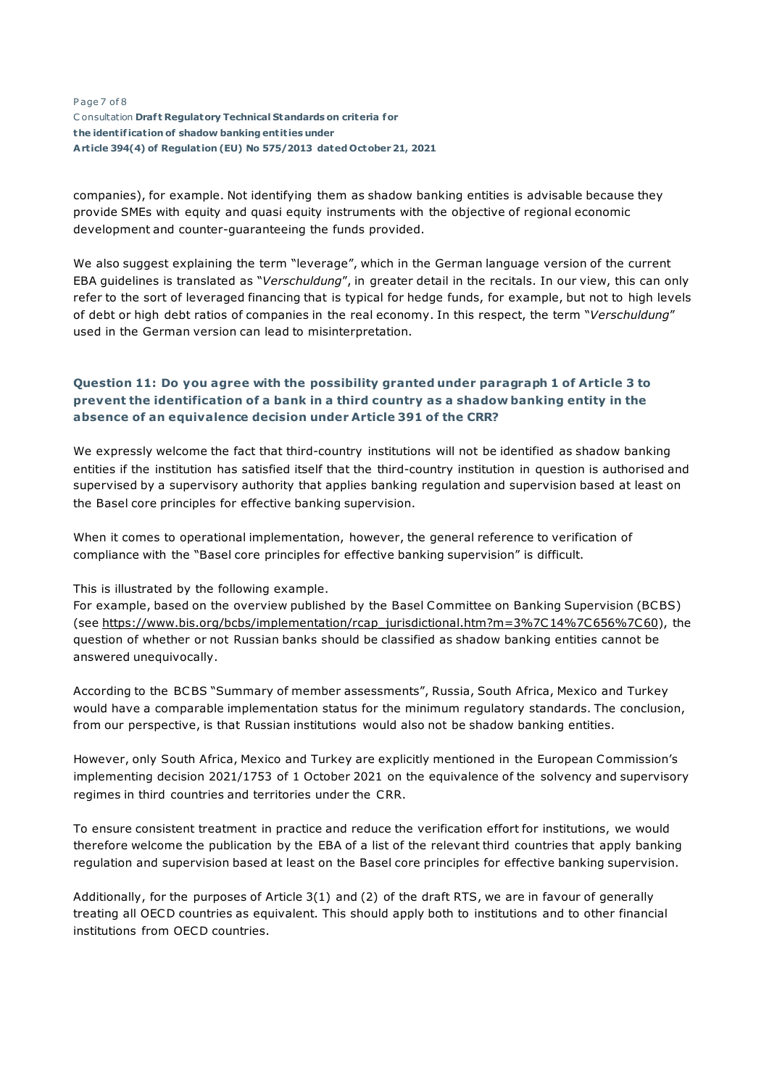#### Page 7 of 8 C onsultation **Draf t Regulatory Technical Standards on criteria for the ident if icat ion of shadow banking ent it ies under Art icle 394(4) of Regulat ion (EU) No 575/2013 dated October 21, 2021**

companies), for example. Not identifying them as shadow banking entities is advisable because they provide SMEs with equity and quasi equity instruments with the objective of regional economic development and counter-guaranteeing the funds provided.

We also suggest explaining the term "leverage", which in the German language version of the current EBA guidelines is translated as "*Verschuldung*", in greater detail in the recitals. In our view, this can only refer to the sort of leveraged financing that is typical for hedge funds, for example, but not to high levels of debt or high debt ratios of companies in the real economy. In this respect, the term "*Verschuldung*" used in the German version can lead to misinterpretation.

# **Question 11: Do you agree with the possibility granted under paragraph 1 of Article 3 to prevent the identification of a bank in a third country as a shadow banking entity in the absence of an equivalence decision under Article 391 of the CRR?**

We expressly welcome the fact that third-country institutions will not be identified as shadow banking entities if the institution has satisfied itself that the third-country institution in question is authorised and supervised by a supervisory authority that applies banking regulation and supervision based at least on the Basel core principles for effective banking supervision.

When it comes to operational implementation, however, the general reference to verification of compliance with the "Basel core principles for effective banking supervision" is difficult.

This is illustrated by the following example.

For example, based on the overview published by the Basel Committee on Banking Supervision (BCBS) (see [https://www.bis.org/bcbs/implementation/rcap\\_jurisdictional.htm?m=3%7C14%7C656%7C60\)](https://www.bis.org/bcbs/implementation/rcap_jurisdictional.htm?m=3|14|656|60), the question of whether or not Russian banks should be classified as shadow banking entities cannot be answered unequivocally.

According to the BCBS "Summary of member assessments", Russia, South Africa, Mexico and Turkey would have a comparable implementation status for the minimum regulatory standards. The conclusion, from our perspective, is that Russian institutions would also not be shadow banking entities.

However, only South Africa, Mexico and Turkey are explicitly mentioned in the European Commission's implementing decision 2021/1753 of 1 October 2021 on the equivalence of the solvency and supervisory regimes in third countries and territories under the CRR.

To ensure consistent treatment in practice and reduce the verification effort for institutions, we would therefore welcome the publication by the EBA of a list of the relevant third countries that apply banking regulation and supervision based at least on the Basel core principles for effective banking supervision.

Additionally, for the purposes of Article 3(1) and (2) of the draft RTS, we are in favour of generally treating all OECD countries as equivalent. This should apply both to institutions and to other financial institutions from OECD countries.